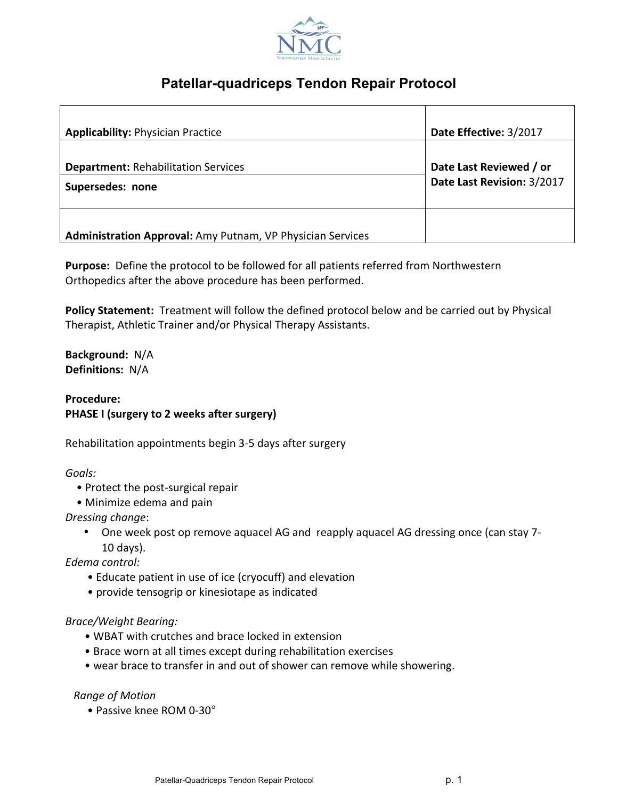

## **Patellar-quadriceps Tendon Repair Protocol**

| <b>Applicability: Physician Practice</b>                          | Date Effective: 3/2017                                |
|-------------------------------------------------------------------|-------------------------------------------------------|
| <b>Department: Rehabilitation Services</b><br>Supersedes: none    | Date Last Reviewed / or<br>Date Last Revision: 3/2017 |
| <b>Administration Approval:</b> Amy Putnam, VP Physician Services |                                                       |

**Purpose:** Define the protocol to be followed for all patients referred from Northwestern Orthopedics after the above procedure has been performed.

**Policy Statement:** Treatment will follow the defined protocol below and be carried out by Physical Therapist, Athletic Trainer and/or Physical Therapy Assistants.

**Background:** N/A **Definitions:** N/A

**Procedure: PHASE I** (surgery to 2 weeks after surgery)

Rehabilitation appointments begin 3-5 days after surgery

*Goals:*

- Protect the post-surgical repair
- Minimize edema and pain

*Dressing change*:

One week post op remove aquacel AG and reapply aquacel AG dressing once (can stay 7-10 days). 

*Edema control:*

- Educate patient in use of ice (cryocuff) and elevation
- provide tensogrip or kinesiotape as indicated

*Brace/Weight Bearing:*

- WBAT with crutches and brace locked in extension
- Brace worn at all times except during rehabilitation exercises
- wear brace to transfer in and out of shower can remove while showering.

#### *Range of Motion*

• Passive knee ROM 0-30°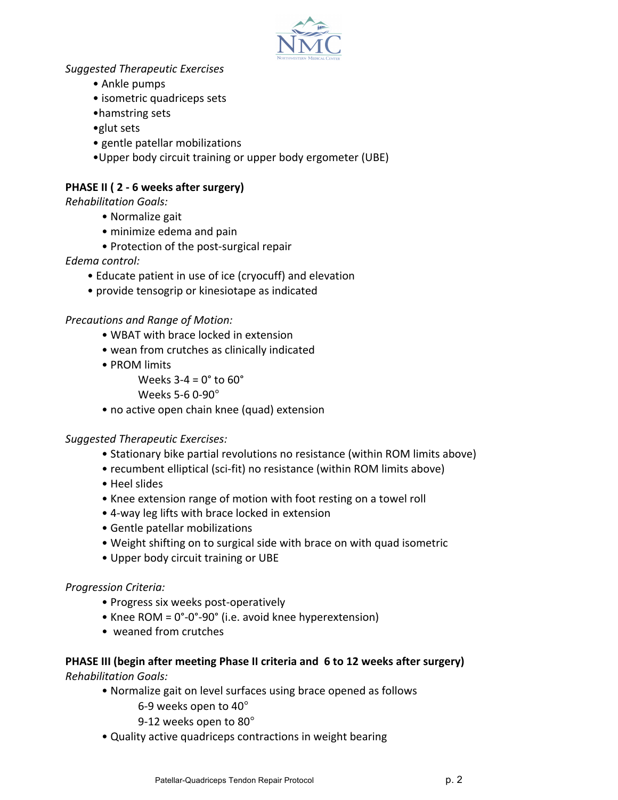

## *Suggested Therapeutic Exercises*

- Ankle pumps
- isometric quadriceps sets
- hamstring sets
- •glut sets
- gentle patellar mobilizations
- Upper body circuit training or upper body ergometer (UBE)

## **PHASE II (2 - 6 weeks after surgery)**

*Rehabilitation Goals:*

- Normalize gait
- minimize edema and pain
- Protection of the post-surgical repair

## *Edema control:*

- Educate patient in use of ice (cryocuff) and elevation
- provide tensogrip or kinesiotape as indicated

## **Precautions and Range of Motion:**

- WBAT with brace locked in extension
- wean from crutches as clinically indicated
- PROM limits

Weeks  $3-4 = 0^\circ$  to  $60^\circ$ 

Weeks 5-6 0-90°

• no active open chain knee (quad) extension

## *Suggested Therapeutic Exercises:*

- Stationary bike partial revolutions no resistance (within ROM limits above)
- recumbent elliptical (sci-fit) no resistance (within ROM limits above)
- • Heel slides
- Knee extension range of motion with foot resting on a towel roll
- 4-way leg lifts with brace locked in extension
- Gentle patellar mobilizations
- Weight shifting on to surgical side with brace on with quad isometric
- Upper body circuit training or UBE

## *Progression Criteria:*

- Progress six weeks post-operatively
- Knee ROM =  $0^\circ$ -0°-90° (i.e. avoid knee hyperextension)
- weaned from crutches

## **PHASE III (begin after meeting Phase II criteria and 6 to 12 weeks after surgery)** *Rehabilitation Goals:*

- Normalize gait on level surfaces using brace opened as follows
	- 6-9 weeks open to 40°
	- 9-12 weeks open to 80°
- Quality active quadriceps contractions in weight bearing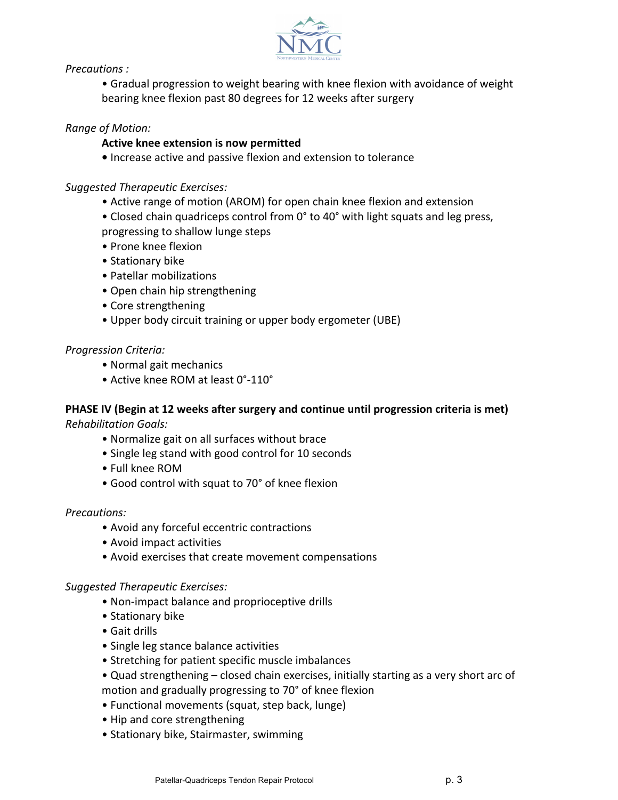

*Precautions :*

• Gradual progression to weight bearing with knee flexion with avoidance of weight bearing knee flexion past 80 degrees for 12 weeks after surgery

## *Range of Motion:*

#### **Active knee extension is now permitted**

• Increase active and passive flexion and extension to tolerance

#### *Suggested Therapeutic Exercises:*

- Active range of motion (AROM) for open chain knee flexion and extension
- Closed chain quadriceps control from 0° to 40° with light squats and leg press,
- progressing to shallow lunge steps
- Prone knee flexion
- Stationary bike
- Patellar mobilizations
- Open chain hip strengthening
- Core strengthening
- Upper body circuit training or upper body ergometer (UBE)

#### *Progression Criteria:*

- Normal gait mechanics
- Active knee ROM at least 0°-110°

#### **PHASE IV (Begin at 12 weeks after surgery and continue until progression criteria is met)**

*Rehabilitation Goals:*

- Normalize gait on all surfaces without brace
- Single leg stand with good control for 10 seconds
- Full knee ROM
- Good control with squat to 70° of knee flexion

#### *Precautions:*

- Avoid any forceful eccentric contractions
- Avoid impact activities
- Avoid exercises that create movement compensations

#### *Suggested Therapeutic Exercises:*

- Non-impact balance and proprioceptive drills
- Stationary bike
- Gait drills
- Single leg stance balance activities
- Stretching for patient specific muscle imbalances
- Quad strengthening closed chain exercises, initially starting as a very short arc of motion and gradually progressing to 70° of knee flexion
- Functional movements (squat, step back, lunge)
- Hip and core strengthening
- Stationary bike, Stairmaster, swimming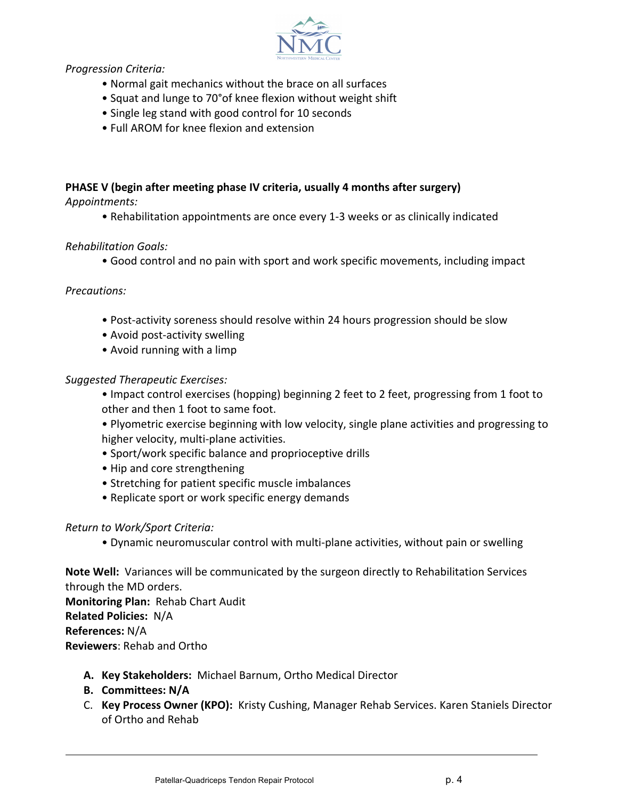

*Progression Criteria:*

- Normal gait mechanics without the brace on all surfaces
- Squat and lunge to 70° of knee flexion without weight shift
- Single leg stand with good control for 10 seconds
- Full AROM for knee flexion and extension

# **PHASE V** (begin after meeting phase IV criteria, usually 4 months after surgery)

*Appointments:*

• Rehabilitation appointments are once every 1-3 weeks or as clinically indicated

## *Rehabilitation Goals:*

• Good control and no pain with sport and work specific movements, including impact

## *Precautions:*

- Post-activity soreness should resolve within 24 hours progression should be slow
- Avoid post-activity swelling
- Avoid running with a limp

## *Suggested Therapeutic Exercises:*

- Impact control exercises (hopping) beginning 2 feet to 2 feet, progressing from 1 foot to other and then 1 foot to same foot.
- Plyometric exercise beginning with low velocity, single plane activities and progressing to higher velocity, multi-plane activities.
- Sport/work specific balance and proprioceptive drills
- Hip and core strengthening
- Stretching for patient specific muscle imbalances
- Replicate sport or work specific energy demands

## *Return to Work/Sport Criteria:*

• Dynamic neuromuscular control with multi-plane activities, without pain or swelling

Note Well: Variances will be communicated by the surgeon directly to Rehabilitation Services through the MD orders. **Monitoring Plan: Rehab Chart Audit Related Policies: N/A References:** N/A **Reviewers: Rehab and Ortho** 

- A. Key Stakeholders: Michael Barnum, Ortho Medical Director
- **B. Committees: N/A**
- C. Key Process Owner (KPO): Kristy Cushing, Manager Rehab Services. Karen Staniels Director of Ortho and Rehab